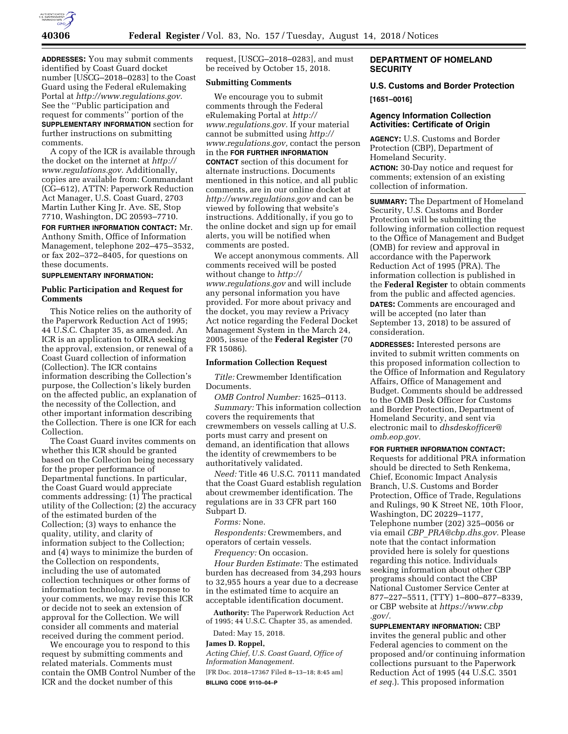

**ADDRESSES:** You may submit comments identified by Coast Guard docket number [USCG–2018–0283] to the Coast Guard using the Federal eRulemaking Portal at *[http://www.regulations.gov.](http://www.regulations.gov)*  See the ''Public participation and request for comments'' portion of the **SUPPLEMENTARY INFORMATION** section for further instructions on submitting comments.

A copy of the ICR is available through the docket on the internet at *[http://](http://www.regulations.gov) [www.regulations.gov.](http://www.regulations.gov)* Additionally, copies are available from: Commandant (CG–612), ATTN: Paperwork Reduction Act Manager, U.S. Coast Guard, 2703 Martin Luther King Jr. Ave. SE, Stop 7710, Washington, DC 20593–7710.

**FOR FURTHER INFORMATION CONTACT:** Mr. Anthony Smith, Office of Information Management, telephone 202–475–3532, or fax 202–372–8405, for questions on these documents.

#### **SUPPLEMENTARY INFORMATION:**

#### **Public Participation and Request for Comments**

This Notice relies on the authority of the Paperwork Reduction Act of 1995; 44 U.S.C. Chapter 35, as amended. An ICR is an application to OIRA seeking the approval, extension, or renewal of a Coast Guard collection of information (Collection). The ICR contains information describing the Collection's purpose, the Collection's likely burden on the affected public, an explanation of the necessity of the Collection, and other important information describing the Collection. There is one ICR for each Collection.

The Coast Guard invites comments on whether this ICR should be granted based on the Collection being necessary for the proper performance of Departmental functions. In particular, the Coast Guard would appreciate comments addressing: (1) The practical utility of the Collection; (2) the accuracy of the estimated burden of the Collection; (3) ways to enhance the quality, utility, and clarity of information subject to the Collection; and (4) ways to minimize the burden of the Collection on respondents, including the use of automated collection techniques or other forms of information technology. In response to your comments, we may revise this ICR or decide not to seek an extension of approval for the Collection. We will consider all comments and material received during the comment period.

We encourage you to respond to this request by submitting comments and related materials. Comments must contain the OMB Control Number of the ICR and the docket number of this

request, [USCG–2018–0283], and must be received by October 15, 2018.

#### **Submitting Comments**

We encourage you to submit comments through the Federal eRulemaking Portal at *[http://](http://www.regulations.gov) [www.regulations.gov.](http://www.regulations.gov)* If your material cannot be submitted using *[http://](http://www.regulations.gov) [www.regulations.gov,](http://www.regulations.gov)* contact the person in the **FOR FURTHER INFORMATION CONTACT** section of this document for alternate instructions. Documents mentioned in this notice, and all public comments, are in our online docket at *<http://www.regulations.gov>* and can be viewed by following that website's instructions. Additionally, if you go to the online docket and sign up for email alerts, you will be notified when comments are posted.

We accept anonymous comments. All comments received will be posted without change to *[http://](http://www.regulations.gov) [www.regulations.gov](http://www.regulations.gov)* and will include any personal information you have provided. For more about privacy and the docket, you may review a Privacy Act notice regarding the Federal Docket Management System in the March 24, 2005, issue of the **Federal Register** (70 FR 15086).

#### **Information Collection Request**

*Title:* Crewmember Identification Documents.

*OMB Control Number:* 1625–0113.

*Summary:* This information collection covers the requirements that crewmembers on vessels calling at U.S. ports must carry and present on demand, an identification that allows the identity of crewmembers to be authoritatively validated.

*Need:* Title 46 U.S.C. 70111 mandated that the Coast Guard establish regulation about crewmember identification. The regulations are in 33 CFR part 160 Subpart D.

# *Forms:* None.

*Respondents:* Crewmembers, and operators of certain vessels.

*Frequency:* On occasion.

*Hour Burden Estimate:* The estimated burden has decreased from 34,293 hours to 32,955 hours a year due to a decrease in the estimated time to acquire an acceptable identification document.

**Authority:** The Paperwork Reduction Act of 1995; 44 U.S.C. Chapter 35, as amended.

Dated: May 15, 2018.

## **James D. Roppel,**

*Acting Chief, U.S. Coast Guard, Office of Information Management.*  [FR Doc. 2018–17367 Filed 8–13–18; 8:45 am] **BILLING CODE 9110–04–P** 

# **DEPARTMENT OF HOMELAND SECURITY**

# **U.S. Customs and Border Protection [1651–0016]**

# **Agency Information Collection Activities: Certificate of Origin**

**AGENCY:** U.S. Customs and Border Protection (CBP), Department of Homeland Security.

**ACTION:** 30-Day notice and request for comments; extension of an existing collection of information.

**SUMMARY:** The Department of Homeland Security, U.S. Customs and Border Protection will be submitting the following information collection request to the Office of Management and Budget (OMB) for review and approval in accordance with the Paperwork Reduction Act of 1995 (PRA). The information collection is published in the **Federal Register** to obtain comments from the public and affected agencies. **DATES:** Comments are encouraged and will be accepted (no later than September 13, 2018) to be assured of consideration.

**ADDRESSES:** Interested persons are invited to submit written comments on this proposed information collection to the Office of Information and Regulatory Affairs, Office of Management and Budget. Comments should be addressed to the OMB Desk Officer for Customs and Border Protection, Department of Homeland Security, and sent via electronic mail to *[dhsdeskofficer@](mailto:dhsdeskofficer@omb.eop.gov) [omb.eop.gov.](mailto:dhsdeskofficer@omb.eop.gov)* 

#### **FOR FURTHER INFORMATION CONTACT:**

Requests for additional PRA information should be directed to Seth Renkema, Chief, Economic Impact Analysis Branch, U.S. Customs and Border Protection, Office of Trade, Regulations and Rulings, 90 K Street NE, 10th Floor, Washington, DC 20229–1177, Telephone number (202) 325–0056 or via email *CBP*\_*[PRA@cbp.dhs.gov.](mailto:CBP_PRA@cbp.dhs.gov)* Please note that the contact information provided here is solely for questions regarding this notice. Individuals seeking information about other CBP programs should contact the CBP National Customer Service Center at 877–227–5511, (TTY) 1–800–877–8339, or CBP website at *[https://www.cbp](https://www.cbp.gov/) [.gov/.](https://www.cbp.gov/)* 

**SUPPLEMENTARY INFORMATION:** CBP invites the general public and other Federal agencies to comment on the proposed and/or continuing information collections pursuant to the Paperwork Reduction Act of 1995 (44 U.S.C. 3501 *et seq.*). This proposed information